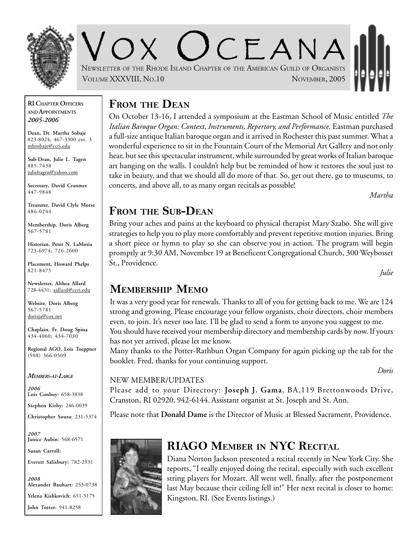

V O X O CEANA NEWSLETTER OF THE RHODE ISLAND CHAPTER OF THE AMERICAN GUILD OF ORGANISTS VOLUME XXXVIII, NO.10 NOVEMBER, 2005

#### **RI CHAPTER OFFICERS AND APPOINTMENTS** *2005-2006*

**Dean, Dr. Martha Sobaje** 823-8024; 467-3300 ext. 3 mhsobaje@ccri.edu

**Sub-Dean, Julie L. Tagen** 885-7438 julieltagen@yahoo.com

**Secretary, David Cranmer** 447-9848

**Treasurer, David Clyle Morse** 486-0244

**Membership, Doris Alberg** 567-5781

**Historian, Peter N. LaMoria** 723-6974; 726-2600

**Placement, Howard Phelps** 821-8475

**Newsletter, Althea Allard** 728-4431; aallard@ccri.edu

**Website**, **Doris Alberg** 567-5781 dorisja@cox.net

**Chaplain, Fr. Doug Spina** 434-4060; 434-7030

**Regional AGO, Lois Toeppner** (508) 366-0509

*MEMBERS-AT-LARGE*

*2006* **Lois Conboy:** 658-3838

**Stephen Kirby:** 246-0039

**Christopher Souza:** 231-5374

*2007* **Janice Aubin**: 568-6571

**Susan Carroll:**

**Everett Salisbury:** 782-2931

*2008* **Alexander Bauhart:** 253-0738 **Yelena Kishkovich:** 651-5175 **John Totter:** 941-8258

### **FROM THE DEAN**

On October 13-16, I attended a symposium at the Eastman School of Music entitled *The Italian Baroque Organ: Context, Instruments, Repertory, and Performance.* Eastman purchased a full-size antique Italian baroque organ and it arrived in Rochester this past summer. What a wonderful experience to sit in the Fountain Court of the Memorial Art Gallery and not only hear, but see this spectacular instrument, while surrounded by great works of Italian baroque art hanging on the walls. I couldn't help but be reminded of how it restores the soul just to take in beauty, and that we should all do more of that. So, get out there, go to museums, to concerts, and above all, to as many organ recitals as possible!

*Martha*

### **FROM THE SUB-DEAN**

Bring your aches and pains at the keyboard to physical therapist Mary Szabo. She will give strategies to help you to play more comfortably and prevent repetitive motion injuries. Bring a short piece or hymn to play so she can observe you in action. The program will begin promptly at 9:30 AM, November 19 at Beneficent Congregational Church, 300 Weybosset St., Providence.

*Julie*

## **MEMBERSHIP MEMO**

It was a very good year for renewals. Thanks to all of you for getting back to me. We are 124 strong and growing. Please encourage your fellow organists, choir directors, choir members even, to join. It's never too late. I'll be glad to send a form to anyone you suggest to me. You should have received your membership directory and membership cards by now. If yours has not yet arrived, please let me know.

Many thanks to the Potter-Rathbun Organ Company for again picking up the tab for the booklet. Fred, thanks for your continuing support.

*Doris*

#### NEW MEMBER/UPDATES

Please add to your Directory: **Joseph J. Gama**, BA,119 Brettonwoods Drive, Cranston, RI 02920, 942-6144. Assistant organist at St. Joseph and St. Ann.

Please note that **Donald Dame** is the Director of Music at Blessed Sacrament, Providence.

# **RIAGO MEMBER IN NYC RECITAL**

Diana Norton Jackson presented a recital recently in New York City. She reports, "I really enjoyed doing the recital, especially with such excellent string players for Mozart. All went well, finally, after the postponement last May because their ceiling fell in!" Her next recital is closer to home: Kingston, RI. (See Events listings.)

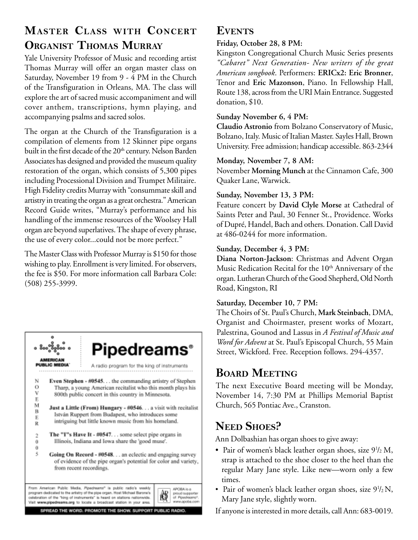# **MASTER CLASS WITH CONCERT ORGANIST THOMAS MURRAY**

Yale University Professor of Music and recording artist Thomas Murray will offer an organ master class on Saturday, November 19 from 9 - 4 PM in the Church of the Transfiguration in Orleans, MA. The class will explore the art of sacred music accompaniment and will cover anthem, transcriptions, hymn playing, and accompanying psalms and sacred solos.

The organ at the Church of the Transfiguration is a compilation of elements from 12 Skinner pipe organs built in the first decade of the 20<sup>th</sup> century. Nelson Barden Associates has designed and provided the museum quality restoration of the organ, which consists of 5,300 pipes including Processional Division and Trumpet Militaire. High Fidelity credits Murray with "consummate skill and artistry in treating the organ as a great orchestra." American Record Guide writes, "Murray's performance and his handling of the immense resources of the Woolsey Hall organ are beyond superlatives. The shape of every phrase, the use of every color...could not be more perfect."

The Master Class with Professor Murray is \$150 for those wishing to play. Enrollment is very limited. For observers, the fee is \$50. For more information call Barbara Cole: (508) 255-3999.



### **EVENTS**

#### **Friday, October 28, 8 PM:**

Kingston Congregational Church Music Series presents *"Cabaret" Next Generation- New writers of the great American songbook*. Performers: **ERICx2: Eric Bronner**, Tenor and **Eric Mazonson**, Piano. In Fellowship Hall, Route 138, across from the URI Main Entrance. Suggested donation, \$10.

#### **Sunday November 6, 4 PM:**

**Claudio Astronio** from Bolzano Conservatory of Music, Bolzano, Italy. Music of Italian Master. Sayles Hall, Brown University. Free admission; handicap accessible. 863-2344

#### **Monday, November 7, 8 AM:**

November **Morning Munch** at the Cinnamon Cafe, 300 Quaker Lane, Warwick.

#### **Sunday, November 13, 3 PM:**

Feature concert by **David Clyle Morse** at Cathedral of Saints Peter and Paul, 30 Fenner St., Providence. Works of Dupré, Handel, Bach and others. Donation. Call David at 486-0244 for more information.

### **Sunday, December 4, 3 PM:**

**Diana Norton-Jackson**: Christmas and Advent Organ Music Redication Recital for the  $10<sup>th</sup>$  Anniversary of the organ. Lutheran Church of the Good Shepherd, Old North Road, Kingston, RI

### **Saturday, December 10, 7 PM:**

The Choirs of St. Paul's Church, **Mark Steinbach**, DMA, Organist and Choirmaster, present works of Mozart, Palestrina, Gounod and Lassus in *A Festival of Music and Word for Advent* at St. Paul's Episcopal Church, 55 Main Street, Wickford. Free. Reception follows. 294-4357.

### **BOARD MEETING**

The next Executive Board meeting will be Monday, November 14, 7:30 PM at Phillips Memorial Baptist Church, 565 Pontiac Ave., Cranston.

## **NEED SHOES?**

Ann Dolbashian has organ shoes to give away:

- Pair of women's black leather organ shoes, size  $9\frac{1}{2}$  M, strap is attached to the shoe closer to the heel than the regular Mary Jane style. Like new—worn only a few times.
- Pair of women's black leather organ shoes, size  $9^{1}/_{2}N$ , Mary Jane style, slightly worn.

If anyone is interested in more details, call Ann: 683-0019.